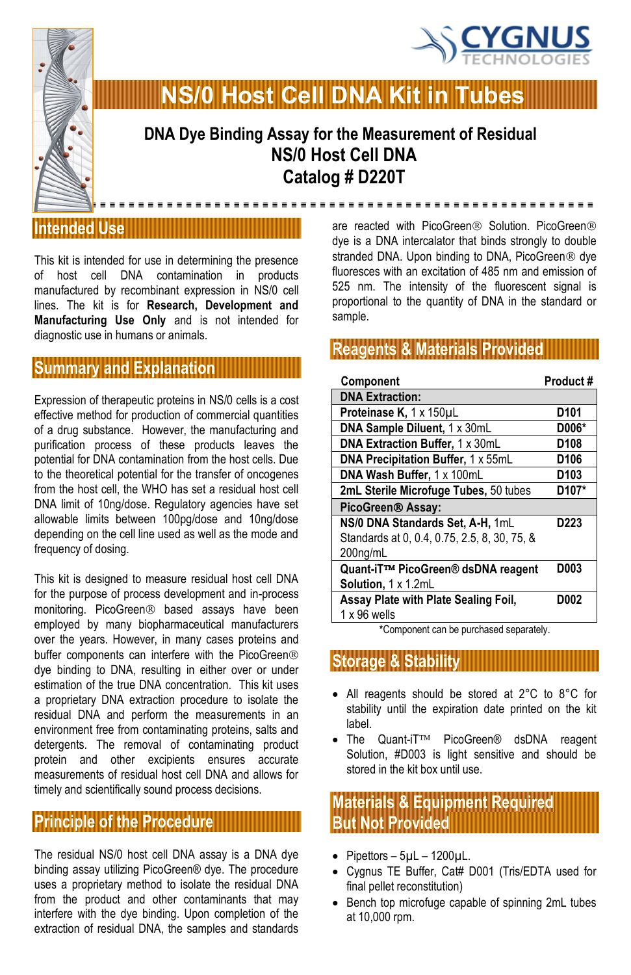



**DNA Dye Binding Assay for the Measurement of Residual NS/0 Host Cell DNA Catalog # D220T**

**NS/0 Host Cell DNA Kit in Tubes** 

**Intended Use** 

This kit is intended for use in determining the presence of host cell DNA contamination in products manufactured by recombinant expression in NS/0 cell lines. The kit is for **Research, Development and Manufacturing Use Only** and is not intended for diagnostic use in humans or animals.

# **Summary and Explanation**

Expression of therapeutic proteins in NS/0 cells is a cost effective method for production of commercial quantities of a drug substance. However, the manufacturing and purification process of these products leaves the potential for DNA contamination from the host cells. Due to the theoretical potential for the transfer of oncogenes from the host cell, the WHO has set a residual host cell DNA limit of 10ng/dose. Regulatory agencies have set allowable limits between 100pg/dose and 10ng/dose depending on the cell line used as well as the mode and frequency of dosing.

This kit is designed to measure residual host cell DNA for the purpose of process development and in-process monitoring. PicoGreen<sup>®</sup> based assays have been employed by many biopharmaceutical manufacturers over the years. However, in many cases proteins and buffer components can interfere with the PicoGreen® dye binding to DNA, resulting in either over or under estimation of the true DNA concentration. This kit uses a proprietary DNA extraction procedure to isolate the residual DNA and perform the measurements in an environment free from contaminating proteins, salts and detergents. The removal of contaminating product protein and other excipients ensures accurate measurements of residual host cell DNA and allows for timely and scientifically sound process decisions.

## **Principle of the Procedure**

The residual NS/0 host cell DNA assay is a DNA dye binding assay utilizing PicoGreen® dye. The procedure uses a proprietary method to isolate the residual DNA from the product and other contaminants that may interfere with the dye binding. Upon completion of the extraction of residual DNA, the samples and standards are reacted with PicoGreen<sup>®</sup> Solution. PicoGreen<sup>®</sup> dye is a DNA intercalator that binds strongly to double stranded DNA. Upon binding to DNA, PicoGreen® dye fluoresces with an excitation of 485 nm and emission of 525 nm. The intensity of the fluorescent signal is proportional to the quantity of DNA in the standard or sample.

<u>---------------------------------</u>

### **Reagents & Materials Provided**

| Component                                    | Product#         |
|----------------------------------------------|------------------|
| <b>DNA Extraction:</b>                       |                  |
| Proteinase K, 1 x 150µL                      | D <sub>101</sub> |
| DNA Sample Diluent, 1 x 30mL                 | D006*            |
| <b>DNA Extraction Buffer, 1 x 30mL</b>       | D <sub>108</sub> |
| DNA Precipitation Buffer, 1 x 55mL           | D <sub>106</sub> |
| DNA Wash Buffer, 1 x 100mL                   | D <sub>103</sub> |
| 2mL Sterile Microfuge Tubes, 50 tubes        | D107*            |
| PicoGreen <sup>®</sup> Assay:                |                  |
| NS/0 DNA Standards Set, A-H, 1mL             | D <sub>223</sub> |
| Standards at 0, 0.4, 0.75, 2.5, 8, 30, 75, & |                  |
| 200 <sub>ng/mL</sub>                         |                  |
| Quant-iT™ PicoGreen® dsDNA reagent           | D003             |
| Solution, 1 x 1.2mL                          |                  |
| Assay Plate with Plate Sealing Foil,         | D002             |
| $1 \times 96$ wells                          |                  |

**\***Component can be purchased separately.

**Storage & Stability** 

- All reagents should be stored at 2°C to 8°C for stability until the expiration date printed on the kit label.
- The Quant-iT $TM$  PicoGreen® dsDNA reagent Solution, #D003 is light sensitive and should be stored in the kit box until use.

### **Materials & Equipment Required But Not Provided**

- $\bullet$  Pipettors 5µL 1200µL.
- Cygnus TE Buffer, Cat# D001 (Tris/EDTA used for final pellet reconstitution)
- Bench top microfuge capable of spinning 2mL tubes at 10,000 rpm.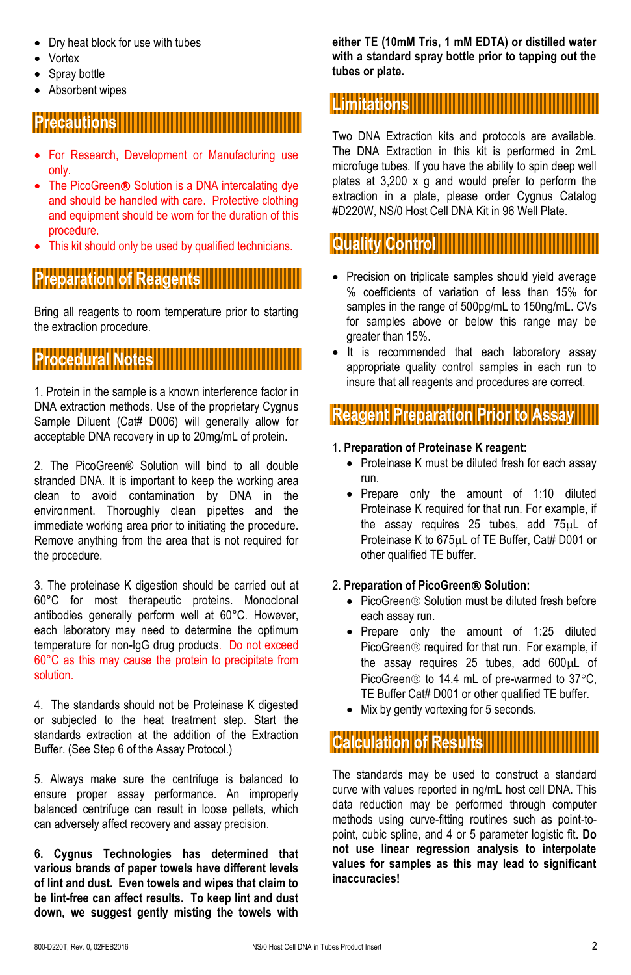- Dry heat block for use with tubes
- Vortex
- Spray bottle
- Absorbent wipes

## **Precautions**

- For Research, Development or Manufacturing use only.
- The PicoGreen<sup>®</sup> Solution is a DNA intercalating dye and should be handled with care. Protective clothing and equipment should be worn for the duration of this procedure.
- This kit should only be used by qualified technicians.

### **Preparation of Reagents**

Bring all reagents to room temperature prior to starting the extraction procedure.

# **Procedural Notes**

1. Protein in the sample is a known interference factor in DNA extraction methods. Use of the proprietary Cygnus Sample Diluent (Cat# D006) will generally allow for acceptable DNA recovery in up to 20mg/mL of protein.

2. The PicoGreen® Solution will bind to all double stranded DNA. It is important to keep the working area clean to avoid contamination by DNA in the environment. Thoroughly clean pipettes and the immediate working area prior to initiating the procedure. Remove anything from the area that is not required for the procedure.

3. The proteinase K digestion should be carried out at 60°C for most therapeutic proteins. Monoclonal antibodies generally perform well at 60°C. However, each laboratory may need to determine the optimum temperature for non-IgG drug products. Do not exceed 60°C as this may cause the protein to precipitate from solution.

4. The standards should not be Proteinase K digested or subjected to the heat treatment step. Start the standards extraction at the addition of the Extraction Buffer. (See Step 6 of the Assay Protocol.)

5. Always make sure the centrifuge is balanced to ensure proper assay performance. An improperly balanced centrifuge can result in loose pellets, which can adversely affect recovery and assay precision.

**6. Cygnus Technologies has determined that various brands of paper towels have different levels of lint and dust. Even towels and wipes that claim to be lint-free can affect results. To keep lint and dust down, we suggest gently misting the towels with** 

**either TE (10mM Tris, 1 mM EDTA) or distilled water with a standard spray bottle prior to tapping out the tubes or plate.** 

#### **Limitations**

Two DNA Extraction kits and protocols are available. The DNA Extraction in this kit is performed in 2mL microfuge tubes. If you have the ability to spin deep well plates at 3,200 x g and would prefer to perform the extraction in a plate, please order Cygnus Catalog #D220W, NS/0 Host Cell DNA Kit in 96 Well Plate.

#### **Quality Control**

- Precision on triplicate samples should yield average % coefficients of variation of less than 15% for samples in the range of 500pg/mL to 150ng/mL. CVs for samples above or below this range may be greater than 15%.
- It is recommended that each laboratory assay appropriate quality control samples in each run to insure that all reagents and procedures are correct.

### **Reagent Preparation Prior to Assay**

#### 1. **Preparation of Proteinase K reagent:**

- Proteinase K must be diluted fresh for each assay run.
- Prepare only the amount of 1:10 diluted Proteinase K required for that run. For example, if the assay requires 25 tubes, add  $75\mu$ L of Proteinase K to 675µL of TE Buffer, Cat# D001 or other qualified TE buffer.

#### 2. **Preparation of PicoGreen Solution:**

- PicoGreen<sup>®</sup> Solution must be diluted fresh before each assay run.
- Prepare only the amount of 1:25 diluted PicoGreen<sup>®</sup> required for that run. For example, if the assay requires 25 tubes, add  $600\mu L$  of PicoGreen $\circledR$  to 14.4 mL of pre-warmed to 37 $\circ$ C. TE Buffer Cat# D001 or other qualified TE buffer.
- Mix by gently vortexing for 5 seconds.

# **Calculation of Results**

The standards may be used to construct a standard curve with values reported in ng/mL host cell DNA. This data reduction may be performed through computer methods using curve-fitting routines such as point-topoint, cubic spline, and 4 or 5 parameter logistic fit**. Do not use linear regression analysis to interpolate values for samples as this may lead to significant inaccuracies!**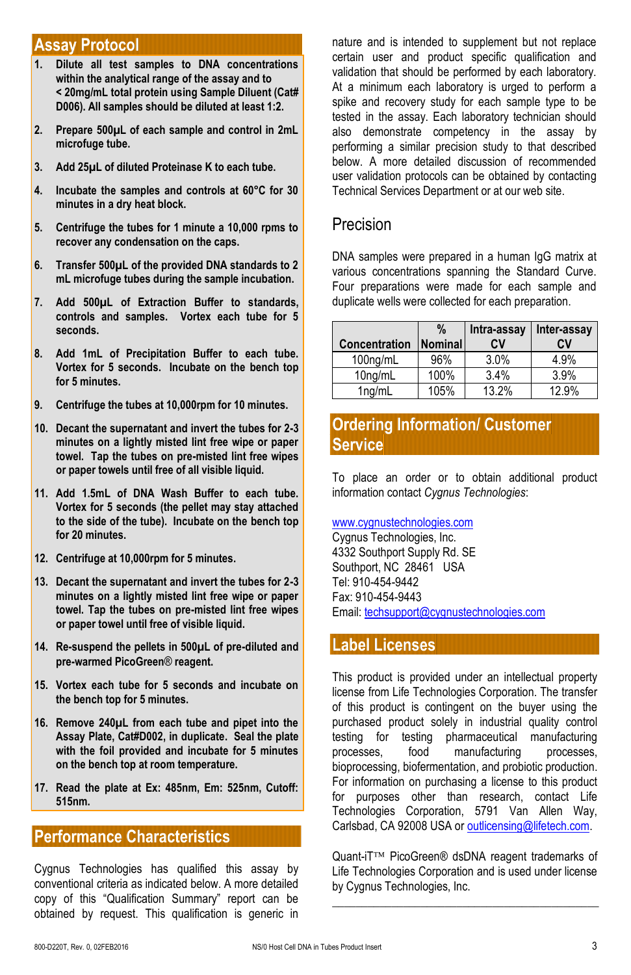#### **Assay Protocol**

- **1. Dilute all test samples to DNA concentrations within the analytical range of the assay and to < 20mg/mL total protein using Sample Diluent (Cat# D006). All samples should be diluted at least 1:2.**
- **2. Prepare 500µL of each sample and control in 2mL microfuge tube.**
- **3. Add 25µL of diluted Proteinase K to each tube.**
- **4. Incubate the samples and controls at 60°C for 30 minutes in a dry heat block.**
- **5. Centrifuge the tubes for 1 minute a 10,000 rpms to recover any condensation on the caps.**
- **6. Transfer 500µL of the provided DNA standards to 2 mL microfuge tubes during the sample incubation.**
- **7. Add 500µL of Extraction Buffer to standards, controls and samples. Vortex each tube for 5 seconds.**
- **8. Add 1mL of Precipitation Buffer to each tube. Vortex for 5 seconds. Incubate on the bench top for 5 minutes.**
- **9. Centrifuge the tubes at 10,000rpm for 10 minutes.**
- **10. Decant the supernatant and invert the tubes for 2-3 minutes on a lightly misted lint free wipe or paper towel. Tap the tubes on pre-misted lint free wipes or paper towels until free of all visible liquid.**
- **11. Add 1.5mL of DNA Wash Buffer to each tube. Vortex for 5 seconds (the pellet may stay attached to the side of the tube). Incubate on the bench top for 20 minutes.**
- **12. Centrifuge at 10,000rpm for 5 minutes.**
- **13. Decant the supernatant and invert the tubes for 2-3 minutes on a lightly misted lint free wipe or paper towel. Tap the tubes on pre-misted lint free wipes or paper towel until free of visible liquid.**
- **14. Re-suspend the pellets in 500µL of pre-diluted and pre-warmed PicoGreen**® **reagent.**
- **15. Vortex each tube for 5 seconds and incubate on the bench top for 5 minutes.**
- **16. Remove 240µL from each tube and pipet into the Assay Plate, Cat#D002, in duplicate. Seal the plate with the foil provided and incubate for 5 minutes on the bench top at room temperature.**
- **17. Read the plate at Ex: 485nm, Em: 525nm, Cutoff: 515nm.**

## **Performance Characteristics**

Cygnus Technologies has qualified this assay by conventional criteria as indicated below. A more detailed copy of this "Qualification Summary" report can be obtained by request. This qualification is generic in

nature and is intended to supplement but not replace certain user and product specific qualification and validation that should be performed by each laboratory. At a minimum each laboratory is urged to perform a spike and recovery study for each sample type to be tested in the assay. Each laboratory technician should also demonstrate competency in the assay by performing a similar precision study to that described below. A more detailed discussion of recommended user validation protocols can be obtained by contacting Technical Services Department or at our web site.

#### Precision

DNA samples were prepared in a human IgG matrix at various concentrations spanning the Standard Curve. Four preparations were made for each sample and duplicate wells were collected for each preparation.

| <b>Concentration</b> | $\%$<br>Nominal | Intra-assay   Inter-assay<br>CV | CV    |
|----------------------|-----------------|---------------------------------|-------|
| 100ng/mL             | 96%             | 3.0%                            | 4.9%  |
| 10ng/mL              | 100%            | 3.4%                            | 3.9%  |
| $1$ ng/mL            | 105%            | 13.2%                           | 12.9% |

**Ordering Information/ Customer ervice** 

To place an order or to obtain additional product information contact *Cygnus Technologies*:

#### [www.cygnustechnologies.com](http://www.cygnustechnologies.com/)

Cygnus Technologies, Inc. 4332 Southport Supply Rd. SE Southport, NC 28461 USA Tel: 910-454-9442 Fax: 910-454-9443 Email[: techsupport@cygnustechnologies.com](mailto:techsupport@cygnustechnologies.com)

#### **Label Licenses**

This product is provided under an intellectual property license from Life Technologies Corporation. The transfer of this product is contingent on the buyer using the purchased product solely in industrial quality control testing for testing pharmaceutical manufacturing processes, food manufacturing processes, bioprocessing, biofermentation, and probiotic production. For information on purchasing a license to this product for purposes other than research, contact Life Technologies Corporation, 5791 Van Allen Way, Carlsbad, CA 92008 USA or outlicensing@lifetech.com.

Quant-iT™ PicoGreen® dsDNA reagent trademarks of Life Technologies Corporation and is used under license by Cygnus Technologies, Inc. **\_\_\_\_\_\_\_\_\_\_\_\_\_\_\_\_\_\_\_\_\_\_\_\_\_\_\_\_\_\_\_\_\_\_\_\_\_\_\_\_\_\_\_\_\_**